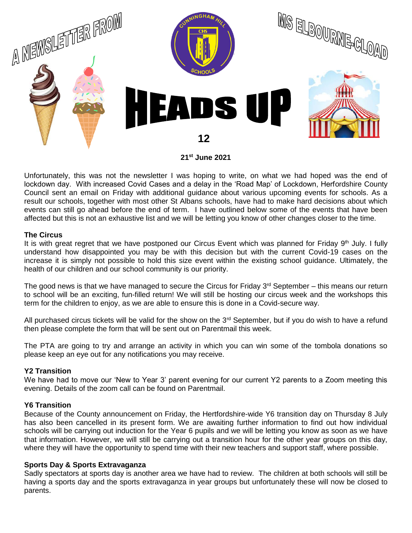

Unfortunately, this was not the newsletter I was hoping to write, on what we had hoped was the end of lockdown day. With increased Covid Cases and a delay in the 'Road Map' of Lockdown, Herfordshire County Council sent an email on Friday with additional guidance about various upcoming events for schools. As a result our schools, together with most other St Albans schools, have had to make hard decisions about which events can still go ahead before the end of term. I have outlined below some of the events that have been affected but this is not an exhaustive list and we will be letting you know of other changes closer to the time.

## **The Circus**

It is with great regret that we have postponed our Circus Event which was planned for Friday 9<sup>th</sup> July. I fully understand how disappointed you may be with this decision but with the current Covid-19 cases on the increase it is simply not possible to hold this size event within the existing school guidance. Ultimately, the health of our children and our school community is our priority.

The good news is that we have managed to secure the Circus for Friday  $3<sup>rd</sup>$  September – this means our return to school will be an exciting, fun-filled return! We will still be hosting our circus week and the workshops this term for the children to enjoy, as we are able to ensure this is done in a Covid-secure way.

All purchased circus tickets will be valid for the show on the  $3<sup>rd</sup>$  September, but if you do wish to have a refund then please complete the form that will be sent out on Parentmail this week.

The PTA are going to try and arrange an activity in which you can win some of the tombola donations so please keep an eye out for any notifications you may receive.

# **Y2 Transition**

We have had to move our 'New to Year 3' parent evening for our current Y2 parents to a Zoom meeting this evening. Details of the zoom call can be found on Parentmail.

# **Y6 Transition**

Because of the County announcement on Friday, the Hertfordshire-wide Y6 transition day on Thursday 8 July has also been cancelled in its present form. We are awaiting further information to find out how individual schools will be carrying out induction for the Year 6 pupils and we will be letting you know as soon as we have that information. However, we will still be carrying out a transition hour for the other year groups on this day, where they will have the opportunity to spend time with their new teachers and support staff, where possible.

## **Sports Day & Sports Extravaganza**

Sadly spectators at sports day is another area we have had to review. The children at both schools will still be having a sports day and the sports extravaganza in year groups but unfortunately these will now be closed to parents.